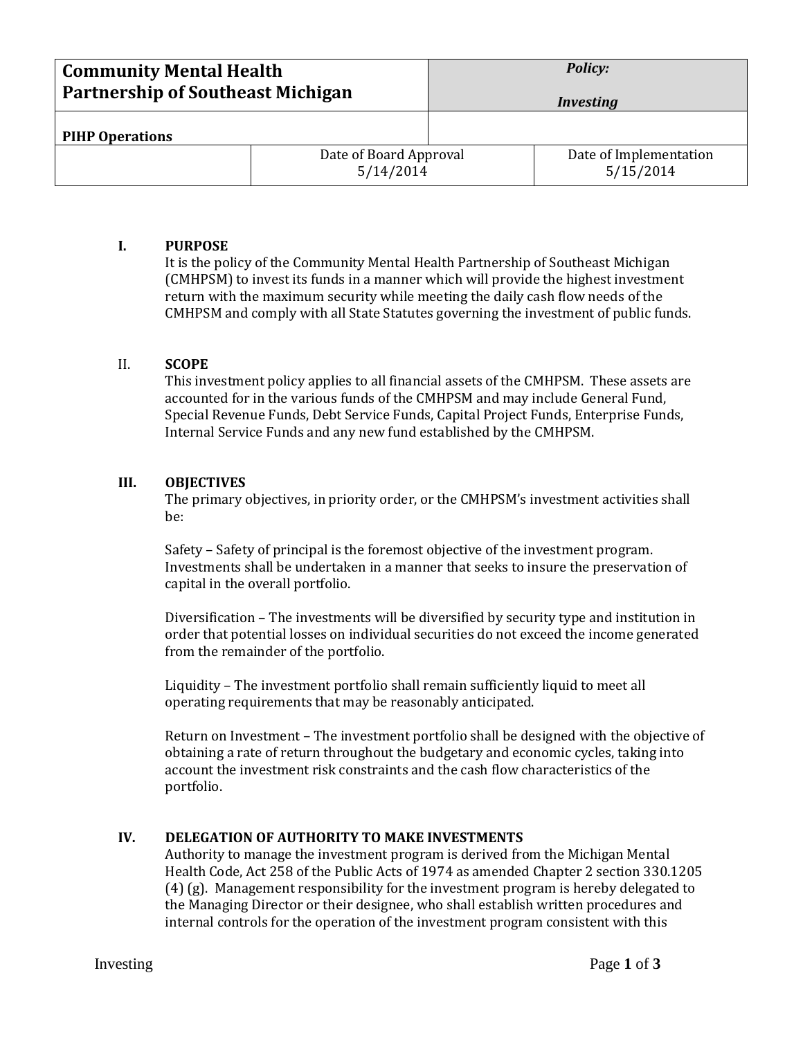| <b>Community Mental Health</b><br><b>Partnership of Southeast Michigan</b> |                                     | <b>Policy:</b><br><b>Investing</b> |                                     |
|----------------------------------------------------------------------------|-------------------------------------|------------------------------------|-------------------------------------|
| <b>PIHP Operations</b>                                                     |                                     |                                    |                                     |
|                                                                            | Date of Board Approval<br>5/14/2014 |                                    | Date of Implementation<br>5/15/2014 |

### **I. PURPOSE**

It is the policy of the Community Mental Health Partnership of Southeast Michigan (CMHPSM) to invest its funds in a manner which will provide the highest investment return with the maximum security while meeting the daily cash flow needs of the CMHPSM and comply with all State Statutes governing the investment of public funds.

### II. **SCOPE**

This investment policy applies to all financial assets of the CMHPSM. These assets are accounted for in the various funds of the CMHPSM and may include General Fund, Special Revenue Funds, Debt Service Funds, Capital Project Funds, Enterprise Funds, Internal Service Funds and any new fund established by the CMHPSM.

#### **III. OBJECTIVES**

The primary objectives, in priority order, or the CMHPSM's investment activities shall be:

Safety – Safety of principal is the foremost objective of the investment program. Investments shall be undertaken in a manner that seeks to insure the preservation of capital in the overall portfolio.

Diversification – The investments will be diversified by security type and institution in order that potential losses on individual securities do not exceed the income generated from the remainder of the portfolio.

Liquidity – The investment portfolio shall remain sufficiently liquid to meet all operating requirements that may be reasonably anticipated.

Return on Investment – The investment portfolio shall be designed with the objective of obtaining a rate of return throughout the budgetary and economic cycles, taking into account the investment risk constraints and the cash flow characteristics of the portfolio.

#### **IV. DELEGATION OF AUTHORITY TO MAKE INVESTMENTS**

Authority to manage the investment program is derived from the Michigan Mental Health Code, Act 258 of the Public Acts of 1974 as amended Chapter 2 section 330.1205 (4) (g). Management responsibility for the investment program is hereby delegated to the Managing Director or their designee, who shall establish written procedures and internal controls for the operation of the investment program consistent with this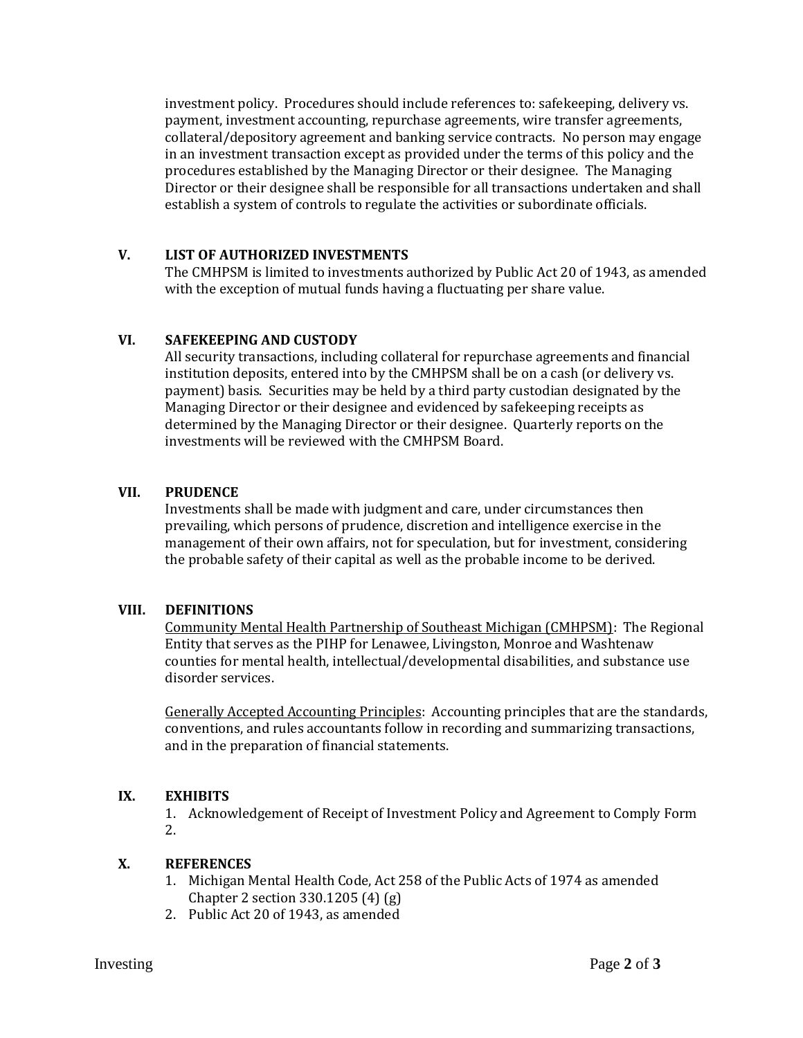investment policy. Procedures should include references to: safekeeping, delivery vs. payment, investment accounting, repurchase agreements, wire transfer agreements, collateral/depository agreement and banking service contracts. No person may engage in an investment transaction except as provided under the terms of this policy and the procedures established by the Managing Director or their designee. The Managing Director or their designee shall be responsible for all transactions undertaken and shall establish a system of controls to regulate the activities or subordinate officials.

# **V. LIST OF AUTHORIZED INVESTMENTS**

The CMHPSM is limited to investments authorized by Public Act 20 of 1943, as amended with the exception of mutual funds having a fluctuating per share value.

### **VI. SAFEKEEPING AND CUSTODY**

All security transactions, including collateral for repurchase agreements and financial institution deposits, entered into by the CMHPSM shall be on a cash (or delivery vs. payment) basis. Securities may be held by a third party custodian designated by the Managing Director or their designee and evidenced by safekeeping receipts as determined by the Managing Director or their designee. Quarterly reports on the investments will be reviewed with the CMHPSM Board.

### **VII. PRUDENCE**

Investments shall be made with judgment and care, under circumstances then prevailing, which persons of prudence, discretion and intelligence exercise in the management of their own affairs, not for speculation, but for investment, considering the probable safety of their capital as well as the probable income to be derived.

#### **VIII. DEFINITIONS**

Community Mental Health Partnership of Southeast Michigan (CMHPSM): The Regional Entity that serves as the PIHP for Lenawee, Livingston, Monroe and Washtenaw counties for mental health, intellectual/developmental disabilities, and substance use disorder services.

Generally Accepted Accounting Principles:Accounting principles that are the standards, conventions, and rules accountants follow in recording and summarizing transactions, and in the preparation of financial statements.

# **IX. EXHIBITS**

1. Acknowledgement of Receipt of Investment Policy and Agreement to Comply Form 2.

#### **X. REFERENCES**

- 1. Michigan Mental Health Code, Act 258 of the Public Acts of 1974 as amended Chapter 2 section 330.1205 (4) (g)
- 2. Public Act 20 of 1943, as amended